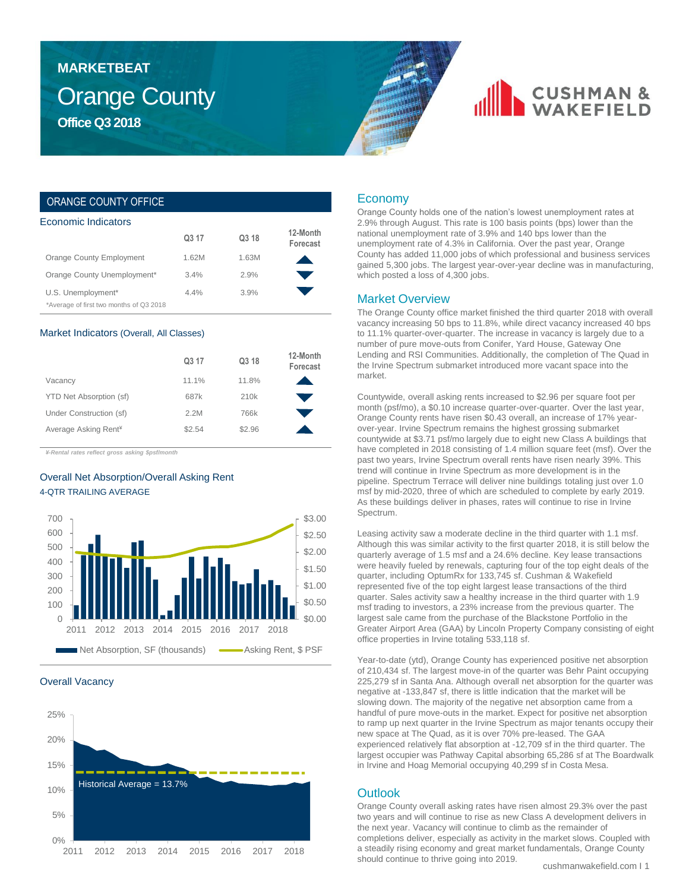### Orange County **Office Q3 2018 MARKETBEAT**

## **CUSHMAN &**

### ORANGE COUNTY OFFICE

| Economic Indicators                     |                   |       |                      |  |  |  |  |
|-----------------------------------------|-------------------|-------|----------------------|--|--|--|--|
|                                         | Q <sub>3</sub> 17 | Q3 18 | 12-Month<br>Forecast |  |  |  |  |
| Orange County Employment                | 1.62M             | 1.63M |                      |  |  |  |  |
| Orange County Unemployment*             | 3.4%              | 2.9%  |                      |  |  |  |  |
| U.S. Unemployment*                      | 4.4%              | 3.9%  |                      |  |  |  |  |
| *Average of first two months of Q3 2018 |                   |       |                      |  |  |  |  |

#### Market Indicators (Overall, All Classes)

|                                  | Q3 17  | Q3 18  | 12-Month<br>Forecast |
|----------------------------------|--------|--------|----------------------|
| Vacancy                          | 11.1%  | 11.8%  |                      |
| YTD Net Absorption (sf)          | 687k   | 210k   |                      |
| Under Construction (sf)          | 2.2M   | 766k   |                      |
| Average Asking Rent <sup>¥</sup> | \$2.54 | \$2.96 |                      |

*¥-Rental rates reflect gross asking \$psf/month*

### Overall Net Absorption/Overall Asking Rent 4-QTR TRAILING AVERAGE



#### Overall Vacancy



### Economy

Orange County holds one of the nation's lowest unemployment rates at 2.9% through August. This rate is 100 basis points (bps) lower than the national unemployment rate of 3.9% and 140 bps lower than the unemployment rate of 4.3% in California. Over the past year, Orange County has added 11,000 jobs of which professional and business services gained 5,300 jobs. The largest year-over-year decline was in manufacturing, which posted a loss of 4,300 jobs.

#### Market Overview

The Orange County office market finished the third quarter 2018 with overall vacancy increasing 50 bps to 11.8%, while direct vacancy increased 40 bps to 11.1% quarter-over-quarter. The increase in vacancy is largely due to a number of pure move-outs from Conifer, Yard House, Gateway One Lending and RSI Communities. Additionally, the completion of The Quad in the Irvine Spectrum submarket introduced more vacant space into the market.

Countywide, overall asking rents increased to \$2.96 per square foot per month (psf/mo), a \$0.10 increase quarter-over-quarter. Over the last year, Orange County rents have risen \$0.43 overall, an increase of 17% yearover-year. Irvine Spectrum remains the highest grossing submarket countywide at \$3.71 psf/mo largely due to eight new Class A buildings that have completed in 2018 consisting of 1.4 million square feet (msf). Over the past two years, Irvine Spectrum overall rents have risen nearly 39%. This trend will continue in Irvine Spectrum as more development is in the pipeline. Spectrum Terrace will deliver nine buildings totaling just over 1.0 msf by mid-2020, three of which are scheduled to complete by early 2019. As these buildings deliver in phases, rates will continue to rise in Irvine Spectrum.

Leasing activity saw a moderate decline in the third quarter with 1.1 msf. Although this was similar activity to the first quarter 2018, it is still below the quarterly average of 1.5 msf and a 24.6% decline. Key lease transactions were heavily fueled by renewals, capturing four of the top eight deals of the quarter, including OptumRx for 133,745 sf. Cushman & Wakefield represented five of the top eight largest lease transactions of the third quarter. Sales activity saw a healthy increase in the third quarter with 1.9 msf trading to investors, a 23% increase from the previous quarter. The largest sale came from the purchase of the Blackstone Portfolio in the Greater Airport Area (GAA) by Lincoln Property Company consisting of eight office properties in Irvine totaling 533,118 sf.

Year-to-date (ytd), Orange County has experienced positive net absorption of 210,434 sf. The largest move-in of the quarter was Behr Paint occupying 225,279 sf in Santa Ana. Although overall net absorption for the quarter was negative at -133,847 sf, there is little indication that the market will be slowing down. The majority of the negative net absorption came from a handful of pure move-outs in the market. Expect for positive net absorption to ramp up next quarter in the Irvine Spectrum as major tenants occupy their new space at The Quad, as it is over 70% pre-leased. The GAA experienced relatively flat absorption at -12,709 sf in the third quarter. The largest occupier was Pathway Capital absorbing 65,286 sf at The Boardwalk in Irvine and Hoag Memorial occupying 40,299 sf in Costa Mesa.

### **Outlook**

Orange County overall asking rates have risen almost 29.3% over the past two years and will continue to rise as new Class A development delivers in the next year. Vacancy will continue to climb as the remainder of completions deliver, especially as activity in the market slows. Coupled with a steadily rising economy and great market fundamentals, Orange County should continue to thrive going into 2019.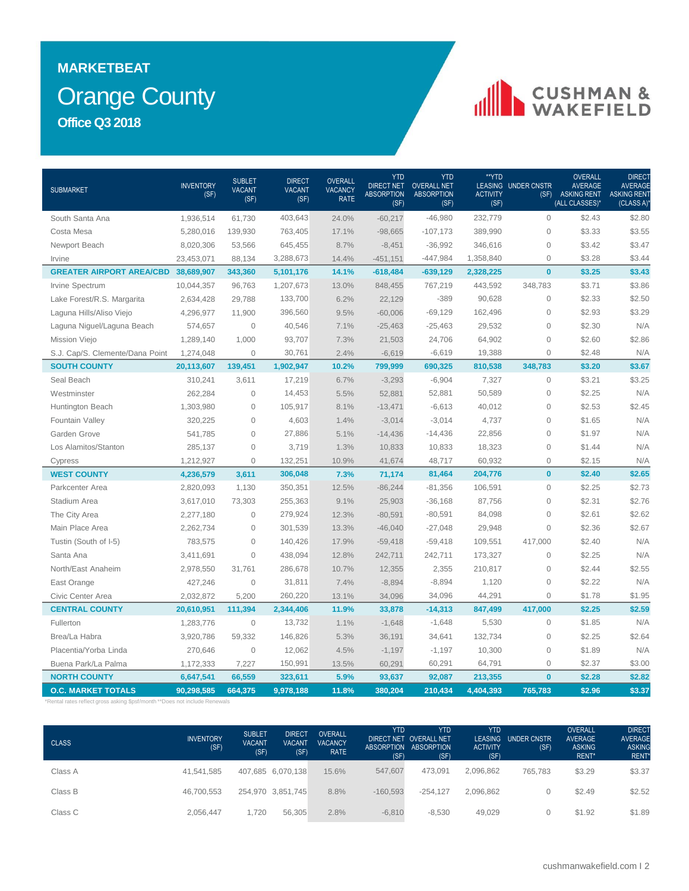### Orange County **MARKETBEAT Office Q3 2018**

# CUSHMAN &

| 24.0%<br>South Santa Ana<br>1,936,514<br>61,730<br>403,643<br>$-60,217$<br>$-46,980$<br>232,779<br>$\mathbf{0}$<br>\$2.43<br>\$2.80<br>389,990<br>$\mathsf{O}\xspace$<br>\$3.33<br>\$3.55<br>Costa Mesa<br>5,280,016<br>139,930<br>763,405<br>17.1%<br>$-98,665$<br>$-107,173$<br>$\mathbf{O}$<br>\$3.47<br>645,455<br>$-36,992$<br>346,616<br>\$3.42<br>Newport Beach<br>8,020,306<br>53,566<br>8.7%<br>$-8,451$<br>3,288,673<br>$-447,984$<br>1,358,840<br>$\mathbf{O}$<br>\$3.28<br>\$3.44<br>23,453,071<br>88,134<br>14.4%<br>$-451,151$<br>Irvine<br>$\mathbf{0}$<br>\$3.43<br>2,328,225<br>\$3.25<br><b>GREATER AIRPORT AREA/CBD 38,689,907</b><br>343,360<br>5,101,176<br>14.1%<br>$-639,129$<br>$-618,484$<br>1,207,673<br>443,592<br>348,783<br>\$3.71<br>\$3.86<br>13.0%<br>848,455<br>767,219<br>Irvine Spectrum<br>10,044,357<br>96,763<br>$\mathsf{O}\xspace$<br>\$2.33<br>\$2.50<br>133,700<br>6.2%<br>$-389$<br>90,628<br>Lake Forest/R.S. Margarita<br>2,634,428<br>29,788<br>22,129<br>$\overline{0}$<br>\$3.29<br>396,560<br>$-69,129$<br>162,496<br>\$2.93<br>Laguna Hills/Aliso Viejo<br>4,296,977<br>11,900<br>9.5%<br>$-60,006$<br>N/A<br>40,546<br>29,532<br>$\mathsf{O}\xspace$<br>\$2.30<br>Laguna Niguel/Laguna Beach<br>574,657<br>$\overline{0}$<br>7.1%<br>$-25,463$<br>$-25,463$<br>93,707<br>$\mathbf{0}$<br>\$2.60<br>\$2.86<br>1,000<br>24,706<br>64,902<br><b>Mission Viejo</b><br>1,289,140<br>7.3%<br>21,503<br>30,761<br>$-6,619$<br>19,388<br>$\mathsf{O}\xspace$<br>\$2.48<br>N/A<br>S.J. Cap/S. Clemente/Dana Point<br>$\overline{0}$<br>2.4%<br>$-6,619$<br>1,274,048<br>810,538<br>348,783<br>\$3.20<br>\$3.67<br><b>SOUTH COUNTY</b><br>139,451<br>1,902,947<br>10.2%<br>799,999<br>690,325<br>20,113,607<br>$\mathbf 0$<br>\$3.25<br>Seal Beach<br>6.7%<br>$-3,293$<br>7,327<br>\$3.21<br>310,241<br>3,611<br>17,219<br>$-6,904$<br>N/A<br>$\mathbf 0$<br>5.5%<br>52,881<br>50,589<br>$\mathsf{O}\xspace$<br>\$2.25<br>Westminster<br>262,284<br>14,453<br>52,881<br>$\overline{0}$<br>\$2.45<br>Huntington Beach<br>1,303,980<br>105,917<br>8.1%<br>$-13,471$<br>$-6,613$<br>40,012<br>$\mathbf{O}$<br>\$2.53<br>N/A<br>$\overline{0}$<br>4,603<br>1.4%<br>$-3,014$<br>4,737<br>$\mathsf{O}\xspace$<br>\$1.65<br>Fountain Valley<br>320,225<br>$-3,014$<br>$\mathbf{O}$<br>\$1.97<br>N/A<br>Garden Grove<br>541,785<br>$\mathbf 0$<br>27,886<br>5.1%<br>$-14,436$<br>$-14,436$<br>22,856<br>$\mathbf 0$<br>N/A<br>Los Alamitos/Stanton<br>$\overline{0}$<br>3,719<br>1.3%<br>18,323<br>\$1.44<br>285,137<br>10,833<br>10,833<br>60,932<br>$\mathbf{O}$<br>\$2.15<br>N/A<br>1,212,927<br>$\Omega$<br>132,251<br>10.9%<br>41,674<br>48,717<br>Cypress<br>\$2.65<br>$\mathbf{0}$<br>\$2.40<br><b>WEST COUNTY</b><br>3,611<br>306,048<br>7.3%<br>81,464<br>204,776<br>4,236,579<br>71,174<br>\$2.73<br>350,351<br>106,591<br>$\mathsf{O}\xspace$<br>\$2.25<br>2,820,093<br>1,130<br>12.5%<br>$-86,244$<br>$-81,356$<br>Parkcenter Area<br>\$2.76<br>255,363<br>9.1%<br>87,756<br>$\mathbf{O}$<br>\$2.31<br>Stadium Area<br>3,617,010<br>73,303<br>25,903<br>$-36,168$<br>\$2.62<br>$\mathsf{O}\xspace$<br>\$2.61<br>$\overline{0}$<br>279,924<br>12.3%<br>$-80,591$<br>84,098<br>The City Area<br>2,277,180<br>$-80,591$<br>\$2.67<br>Main Place Area<br>$\overline{0}$<br>301,539<br>$-27,048$<br>29,948<br>$\mathbf{0}$<br>\$2.36<br>13.3%<br>$-46,040$<br>2,262,734<br>N/A<br>$\overline{0}$<br>140,426<br>17.9%<br>$-59,418$<br>109,551<br>417,000<br>\$2.40<br>Tustin (South of I-5)<br>783,575<br>$-59,418$<br>$\Omega$<br>$\mathsf{O}\xspace$<br>\$2.25<br>N/A<br>Santa Ana<br>3,411,691<br>438,094<br>12.8%<br>242,711<br>242,711<br>173,327<br>\$2.55<br>286,678<br>2,355<br>$\mathbf{O}$<br>\$2.44<br>North/East Anaheim<br>31.761<br>10.7%<br>210,817<br>2,978,550<br>12,355<br>7.4%<br>$-8,894$<br>$\mathsf{O}\xspace$<br>\$2.22<br>N/A<br>East Orange<br>427,246<br>$\mathbf 0$<br>31,811<br>$-8,894$<br>1,120<br>34,096<br>$\overline{0}$<br>\$1.95<br>Civic Center Area<br>2,032,872<br>5,200<br>260,220<br>13.1%<br>34,096<br>44,291<br>\$1.78<br>\$2.59<br><b>CENTRAL COUNTY</b><br>\$2.25<br>20,610,951<br>111,394<br>2,344,406<br>11.9%<br>33,878<br>$-14,313$<br>847,499<br>417,000<br>$\mathbf{O}$<br>N/A<br>Fullerton<br>1,283,776<br>$\mathbf{0}$<br>13,732<br>1.1%<br>$-1,648$<br>$-1,648$<br>5,530<br>\$1.85<br>\$2.64<br>146,826<br>5.3%<br>34,641<br>132,734<br>$\mathsf{O}\xspace$<br>\$2.25<br>Brea/La Habra<br>3,920,786<br>59,332<br>36,191<br>4.5%<br>$\mathsf{O}\xspace$<br>\$1.89<br>N/A<br>Placentia/Yorba Linda<br>270,646<br>$\mathbf 0$<br>12,062<br>$-1,197$<br>$-1,197$<br>10,300<br>Buena Park/La Palma<br>7,227<br>13.5%<br>60,291<br>64,791<br>$\mathsf{O}\xspace$<br>\$2.37<br>\$3.00<br>1,172,333<br>150,991<br>60,291<br>$\bf{0}$<br>\$2.82<br><b>NORTH COUNTY</b><br>323,611<br>213,355<br>\$2.28<br>6,647,541<br>66,559<br>5.9%<br>93,637<br>92,087 | <b>SUBMARKET</b> | <b>INVENTORY</b><br>(SF) | <b>SUBLET</b><br><b>VACANT</b><br>(SF) | <b>DIRECT</b><br><b>VACANT</b><br>(SF) | OVERALL<br><b>VACANCY</b><br><b>RATE</b> | <b>YTD</b><br><b>DIRECT NET</b><br><b>ABSORPTION</b><br>(SF) | <b>YTD</b><br><b>OVERALL NET</b><br><b>ABSORPTION</b><br>(SF) | **YTD<br><b>ACTIVITY</b><br>(SF) | LEASING UNDER CNSTR<br>(SF) | <b>OVERALL</b><br><b>AVERAGE</b><br><b>ASKING RENT</b><br>(ALL CLASSES)* | DIRECT<br><b>AVERAGE</b><br><b>ASKING RENT</b><br>(CLASS A) |
|----------------------------------------------------------------------------------------------------------------------------------------------------------------------------------------------------------------------------------------------------------------------------------------------------------------------------------------------------------------------------------------------------------------------------------------------------------------------------------------------------------------------------------------------------------------------------------------------------------------------------------------------------------------------------------------------------------------------------------------------------------------------------------------------------------------------------------------------------------------------------------------------------------------------------------------------------------------------------------------------------------------------------------------------------------------------------------------------------------------------------------------------------------------------------------------------------------------------------------------------------------------------------------------------------------------------------------------------------------------------------------------------------------------------------------------------------------------------------------------------------------------------------------------------------------------------------------------------------------------------------------------------------------------------------------------------------------------------------------------------------------------------------------------------------------------------------------------------------------------------------------------------------------------------------------------------------------------------------------------------------------------------------------------------------------------------------------------------------------------------------------------------------------------------------------------------------------------------------------------------------------------------------------------------------------------------------------------------------------------------------------------------------------------------------------------------------------------------------------------------------------------------------------------------------------------------------------------------------------------------------------------------------------------------------------------------------------------------------------------------------------------------------------------------------------------------------------------------------------------------------------------------------------------------------------------------------------------------------------------------------------------------------------------------------------------------------------------------------------------------------------------------------------------------------------------------------------------------------------------------------------------------------------------------------------------------------------------------------------------------------------------------------------------------------------------------------------------------------------------------------------------------------------------------------------------------------------------------------------------------------------------------------------------------------------------------------------------------------------------------------------------------------------------------------------------------------------------------------------------------------------------------------------------------------------------------------------------------------------------------------------------------------------------------------------------------------------------------------------------------------------------------------------------------------------------------------------------------------------------------------------------------------------------------------------------------------------------------------------------------------------------------------------------------------------------------------------------------------------------------------------------------------------------------------------------------------------------------------------------------------------------------------------------------------------------------------------------------------------------------------------------------------------------------------------------------------------------------------------------------------------------------------------------------------------------------|------------------|--------------------------|----------------------------------------|----------------------------------------|------------------------------------------|--------------------------------------------------------------|---------------------------------------------------------------|----------------------------------|-----------------------------|--------------------------------------------------------------------------|-------------------------------------------------------------|
|                                                                                                                                                                                                                                                                                                                                                                                                                                                                                                                                                                                                                                                                                                                                                                                                                                                                                                                                                                                                                                                                                                                                                                                                                                                                                                                                                                                                                                                                                                                                                                                                                                                                                                                                                                                                                                                                                                                                                                                                                                                                                                                                                                                                                                                                                                                                                                                                                                                                                                                                                                                                                                                                                                                                                                                                                                                                                                                                                                                                                                                                                                                                                                                                                                                                                                                                                                                                                                                                                                                                                                                                                                                                                                                                                                                                                                                                                                                                                                                                                                                                                                                                                                                                                                                                                                                                                                                                                                                                                                                                                                                                                                                                                                                                                                                                                                                                                                                                              |                  |                          |                                        |                                        |                                          |                                                              |                                                               |                                  |                             |                                                                          |                                                             |
|                                                                                                                                                                                                                                                                                                                                                                                                                                                                                                                                                                                                                                                                                                                                                                                                                                                                                                                                                                                                                                                                                                                                                                                                                                                                                                                                                                                                                                                                                                                                                                                                                                                                                                                                                                                                                                                                                                                                                                                                                                                                                                                                                                                                                                                                                                                                                                                                                                                                                                                                                                                                                                                                                                                                                                                                                                                                                                                                                                                                                                                                                                                                                                                                                                                                                                                                                                                                                                                                                                                                                                                                                                                                                                                                                                                                                                                                                                                                                                                                                                                                                                                                                                                                                                                                                                                                                                                                                                                                                                                                                                                                                                                                                                                                                                                                                                                                                                                                              |                  |                          |                                        |                                        |                                          |                                                              |                                                               |                                  |                             |                                                                          |                                                             |
|                                                                                                                                                                                                                                                                                                                                                                                                                                                                                                                                                                                                                                                                                                                                                                                                                                                                                                                                                                                                                                                                                                                                                                                                                                                                                                                                                                                                                                                                                                                                                                                                                                                                                                                                                                                                                                                                                                                                                                                                                                                                                                                                                                                                                                                                                                                                                                                                                                                                                                                                                                                                                                                                                                                                                                                                                                                                                                                                                                                                                                                                                                                                                                                                                                                                                                                                                                                                                                                                                                                                                                                                                                                                                                                                                                                                                                                                                                                                                                                                                                                                                                                                                                                                                                                                                                                                                                                                                                                                                                                                                                                                                                                                                                                                                                                                                                                                                                                                              |                  |                          |                                        |                                        |                                          |                                                              |                                                               |                                  |                             |                                                                          |                                                             |
|                                                                                                                                                                                                                                                                                                                                                                                                                                                                                                                                                                                                                                                                                                                                                                                                                                                                                                                                                                                                                                                                                                                                                                                                                                                                                                                                                                                                                                                                                                                                                                                                                                                                                                                                                                                                                                                                                                                                                                                                                                                                                                                                                                                                                                                                                                                                                                                                                                                                                                                                                                                                                                                                                                                                                                                                                                                                                                                                                                                                                                                                                                                                                                                                                                                                                                                                                                                                                                                                                                                                                                                                                                                                                                                                                                                                                                                                                                                                                                                                                                                                                                                                                                                                                                                                                                                                                                                                                                                                                                                                                                                                                                                                                                                                                                                                                                                                                                                                              |                  |                          |                                        |                                        |                                          |                                                              |                                                               |                                  |                             |                                                                          |                                                             |
|                                                                                                                                                                                                                                                                                                                                                                                                                                                                                                                                                                                                                                                                                                                                                                                                                                                                                                                                                                                                                                                                                                                                                                                                                                                                                                                                                                                                                                                                                                                                                                                                                                                                                                                                                                                                                                                                                                                                                                                                                                                                                                                                                                                                                                                                                                                                                                                                                                                                                                                                                                                                                                                                                                                                                                                                                                                                                                                                                                                                                                                                                                                                                                                                                                                                                                                                                                                                                                                                                                                                                                                                                                                                                                                                                                                                                                                                                                                                                                                                                                                                                                                                                                                                                                                                                                                                                                                                                                                                                                                                                                                                                                                                                                                                                                                                                                                                                                                                              |                  |                          |                                        |                                        |                                          |                                                              |                                                               |                                  |                             |                                                                          |                                                             |
|                                                                                                                                                                                                                                                                                                                                                                                                                                                                                                                                                                                                                                                                                                                                                                                                                                                                                                                                                                                                                                                                                                                                                                                                                                                                                                                                                                                                                                                                                                                                                                                                                                                                                                                                                                                                                                                                                                                                                                                                                                                                                                                                                                                                                                                                                                                                                                                                                                                                                                                                                                                                                                                                                                                                                                                                                                                                                                                                                                                                                                                                                                                                                                                                                                                                                                                                                                                                                                                                                                                                                                                                                                                                                                                                                                                                                                                                                                                                                                                                                                                                                                                                                                                                                                                                                                                                                                                                                                                                                                                                                                                                                                                                                                                                                                                                                                                                                                                                              |                  |                          |                                        |                                        |                                          |                                                              |                                                               |                                  |                             |                                                                          |                                                             |
|                                                                                                                                                                                                                                                                                                                                                                                                                                                                                                                                                                                                                                                                                                                                                                                                                                                                                                                                                                                                                                                                                                                                                                                                                                                                                                                                                                                                                                                                                                                                                                                                                                                                                                                                                                                                                                                                                                                                                                                                                                                                                                                                                                                                                                                                                                                                                                                                                                                                                                                                                                                                                                                                                                                                                                                                                                                                                                                                                                                                                                                                                                                                                                                                                                                                                                                                                                                                                                                                                                                                                                                                                                                                                                                                                                                                                                                                                                                                                                                                                                                                                                                                                                                                                                                                                                                                                                                                                                                                                                                                                                                                                                                                                                                                                                                                                                                                                                                                              |                  |                          |                                        |                                        |                                          |                                                              |                                                               |                                  |                             |                                                                          |                                                             |
|                                                                                                                                                                                                                                                                                                                                                                                                                                                                                                                                                                                                                                                                                                                                                                                                                                                                                                                                                                                                                                                                                                                                                                                                                                                                                                                                                                                                                                                                                                                                                                                                                                                                                                                                                                                                                                                                                                                                                                                                                                                                                                                                                                                                                                                                                                                                                                                                                                                                                                                                                                                                                                                                                                                                                                                                                                                                                                                                                                                                                                                                                                                                                                                                                                                                                                                                                                                                                                                                                                                                                                                                                                                                                                                                                                                                                                                                                                                                                                                                                                                                                                                                                                                                                                                                                                                                                                                                                                                                                                                                                                                                                                                                                                                                                                                                                                                                                                                                              |                  |                          |                                        |                                        |                                          |                                                              |                                                               |                                  |                             |                                                                          |                                                             |
|                                                                                                                                                                                                                                                                                                                                                                                                                                                                                                                                                                                                                                                                                                                                                                                                                                                                                                                                                                                                                                                                                                                                                                                                                                                                                                                                                                                                                                                                                                                                                                                                                                                                                                                                                                                                                                                                                                                                                                                                                                                                                                                                                                                                                                                                                                                                                                                                                                                                                                                                                                                                                                                                                                                                                                                                                                                                                                                                                                                                                                                                                                                                                                                                                                                                                                                                                                                                                                                                                                                                                                                                                                                                                                                                                                                                                                                                                                                                                                                                                                                                                                                                                                                                                                                                                                                                                                                                                                                                                                                                                                                                                                                                                                                                                                                                                                                                                                                                              |                  |                          |                                        |                                        |                                          |                                                              |                                                               |                                  |                             |                                                                          |                                                             |
|                                                                                                                                                                                                                                                                                                                                                                                                                                                                                                                                                                                                                                                                                                                                                                                                                                                                                                                                                                                                                                                                                                                                                                                                                                                                                                                                                                                                                                                                                                                                                                                                                                                                                                                                                                                                                                                                                                                                                                                                                                                                                                                                                                                                                                                                                                                                                                                                                                                                                                                                                                                                                                                                                                                                                                                                                                                                                                                                                                                                                                                                                                                                                                                                                                                                                                                                                                                                                                                                                                                                                                                                                                                                                                                                                                                                                                                                                                                                                                                                                                                                                                                                                                                                                                                                                                                                                                                                                                                                                                                                                                                                                                                                                                                                                                                                                                                                                                                                              |                  |                          |                                        |                                        |                                          |                                                              |                                                               |                                  |                             |                                                                          |                                                             |
|                                                                                                                                                                                                                                                                                                                                                                                                                                                                                                                                                                                                                                                                                                                                                                                                                                                                                                                                                                                                                                                                                                                                                                                                                                                                                                                                                                                                                                                                                                                                                                                                                                                                                                                                                                                                                                                                                                                                                                                                                                                                                                                                                                                                                                                                                                                                                                                                                                                                                                                                                                                                                                                                                                                                                                                                                                                                                                                                                                                                                                                                                                                                                                                                                                                                                                                                                                                                                                                                                                                                                                                                                                                                                                                                                                                                                                                                                                                                                                                                                                                                                                                                                                                                                                                                                                                                                                                                                                                                                                                                                                                                                                                                                                                                                                                                                                                                                                                                              |                  |                          |                                        |                                        |                                          |                                                              |                                                               |                                  |                             |                                                                          |                                                             |
|                                                                                                                                                                                                                                                                                                                                                                                                                                                                                                                                                                                                                                                                                                                                                                                                                                                                                                                                                                                                                                                                                                                                                                                                                                                                                                                                                                                                                                                                                                                                                                                                                                                                                                                                                                                                                                                                                                                                                                                                                                                                                                                                                                                                                                                                                                                                                                                                                                                                                                                                                                                                                                                                                                                                                                                                                                                                                                                                                                                                                                                                                                                                                                                                                                                                                                                                                                                                                                                                                                                                                                                                                                                                                                                                                                                                                                                                                                                                                                                                                                                                                                                                                                                                                                                                                                                                                                                                                                                                                                                                                                                                                                                                                                                                                                                                                                                                                                                                              |                  |                          |                                        |                                        |                                          |                                                              |                                                               |                                  |                             |                                                                          |                                                             |
|                                                                                                                                                                                                                                                                                                                                                                                                                                                                                                                                                                                                                                                                                                                                                                                                                                                                                                                                                                                                                                                                                                                                                                                                                                                                                                                                                                                                                                                                                                                                                                                                                                                                                                                                                                                                                                                                                                                                                                                                                                                                                                                                                                                                                                                                                                                                                                                                                                                                                                                                                                                                                                                                                                                                                                                                                                                                                                                                                                                                                                                                                                                                                                                                                                                                                                                                                                                                                                                                                                                                                                                                                                                                                                                                                                                                                                                                                                                                                                                                                                                                                                                                                                                                                                                                                                                                                                                                                                                                                                                                                                                                                                                                                                                                                                                                                                                                                                                                              |                  |                          |                                        |                                        |                                          |                                                              |                                                               |                                  |                             |                                                                          |                                                             |
|                                                                                                                                                                                                                                                                                                                                                                                                                                                                                                                                                                                                                                                                                                                                                                                                                                                                                                                                                                                                                                                                                                                                                                                                                                                                                                                                                                                                                                                                                                                                                                                                                                                                                                                                                                                                                                                                                                                                                                                                                                                                                                                                                                                                                                                                                                                                                                                                                                                                                                                                                                                                                                                                                                                                                                                                                                                                                                                                                                                                                                                                                                                                                                                                                                                                                                                                                                                                                                                                                                                                                                                                                                                                                                                                                                                                                                                                                                                                                                                                                                                                                                                                                                                                                                                                                                                                                                                                                                                                                                                                                                                                                                                                                                                                                                                                                                                                                                                                              |                  |                          |                                        |                                        |                                          |                                                              |                                                               |                                  |                             |                                                                          |                                                             |
|                                                                                                                                                                                                                                                                                                                                                                                                                                                                                                                                                                                                                                                                                                                                                                                                                                                                                                                                                                                                                                                                                                                                                                                                                                                                                                                                                                                                                                                                                                                                                                                                                                                                                                                                                                                                                                                                                                                                                                                                                                                                                                                                                                                                                                                                                                                                                                                                                                                                                                                                                                                                                                                                                                                                                                                                                                                                                                                                                                                                                                                                                                                                                                                                                                                                                                                                                                                                                                                                                                                                                                                                                                                                                                                                                                                                                                                                                                                                                                                                                                                                                                                                                                                                                                                                                                                                                                                                                                                                                                                                                                                                                                                                                                                                                                                                                                                                                                                                              |                  |                          |                                        |                                        |                                          |                                                              |                                                               |                                  |                             |                                                                          |                                                             |
|                                                                                                                                                                                                                                                                                                                                                                                                                                                                                                                                                                                                                                                                                                                                                                                                                                                                                                                                                                                                                                                                                                                                                                                                                                                                                                                                                                                                                                                                                                                                                                                                                                                                                                                                                                                                                                                                                                                                                                                                                                                                                                                                                                                                                                                                                                                                                                                                                                                                                                                                                                                                                                                                                                                                                                                                                                                                                                                                                                                                                                                                                                                                                                                                                                                                                                                                                                                                                                                                                                                                                                                                                                                                                                                                                                                                                                                                                                                                                                                                                                                                                                                                                                                                                                                                                                                                                                                                                                                                                                                                                                                                                                                                                                                                                                                                                                                                                                                                              |                  |                          |                                        |                                        |                                          |                                                              |                                                               |                                  |                             |                                                                          |                                                             |
|                                                                                                                                                                                                                                                                                                                                                                                                                                                                                                                                                                                                                                                                                                                                                                                                                                                                                                                                                                                                                                                                                                                                                                                                                                                                                                                                                                                                                                                                                                                                                                                                                                                                                                                                                                                                                                                                                                                                                                                                                                                                                                                                                                                                                                                                                                                                                                                                                                                                                                                                                                                                                                                                                                                                                                                                                                                                                                                                                                                                                                                                                                                                                                                                                                                                                                                                                                                                                                                                                                                                                                                                                                                                                                                                                                                                                                                                                                                                                                                                                                                                                                                                                                                                                                                                                                                                                                                                                                                                                                                                                                                                                                                                                                                                                                                                                                                                                                                                              |                  |                          |                                        |                                        |                                          |                                                              |                                                               |                                  |                             |                                                                          |                                                             |
|                                                                                                                                                                                                                                                                                                                                                                                                                                                                                                                                                                                                                                                                                                                                                                                                                                                                                                                                                                                                                                                                                                                                                                                                                                                                                                                                                                                                                                                                                                                                                                                                                                                                                                                                                                                                                                                                                                                                                                                                                                                                                                                                                                                                                                                                                                                                                                                                                                                                                                                                                                                                                                                                                                                                                                                                                                                                                                                                                                                                                                                                                                                                                                                                                                                                                                                                                                                                                                                                                                                                                                                                                                                                                                                                                                                                                                                                                                                                                                                                                                                                                                                                                                                                                                                                                                                                                                                                                                                                                                                                                                                                                                                                                                                                                                                                                                                                                                                                              |                  |                          |                                        |                                        |                                          |                                                              |                                                               |                                  |                             |                                                                          |                                                             |
|                                                                                                                                                                                                                                                                                                                                                                                                                                                                                                                                                                                                                                                                                                                                                                                                                                                                                                                                                                                                                                                                                                                                                                                                                                                                                                                                                                                                                                                                                                                                                                                                                                                                                                                                                                                                                                                                                                                                                                                                                                                                                                                                                                                                                                                                                                                                                                                                                                                                                                                                                                                                                                                                                                                                                                                                                                                                                                                                                                                                                                                                                                                                                                                                                                                                                                                                                                                                                                                                                                                                                                                                                                                                                                                                                                                                                                                                                                                                                                                                                                                                                                                                                                                                                                                                                                                                                                                                                                                                                                                                                                                                                                                                                                                                                                                                                                                                                                                                              |                  |                          |                                        |                                        |                                          |                                                              |                                                               |                                  |                             |                                                                          |                                                             |
|                                                                                                                                                                                                                                                                                                                                                                                                                                                                                                                                                                                                                                                                                                                                                                                                                                                                                                                                                                                                                                                                                                                                                                                                                                                                                                                                                                                                                                                                                                                                                                                                                                                                                                                                                                                                                                                                                                                                                                                                                                                                                                                                                                                                                                                                                                                                                                                                                                                                                                                                                                                                                                                                                                                                                                                                                                                                                                                                                                                                                                                                                                                                                                                                                                                                                                                                                                                                                                                                                                                                                                                                                                                                                                                                                                                                                                                                                                                                                                                                                                                                                                                                                                                                                                                                                                                                                                                                                                                                                                                                                                                                                                                                                                                                                                                                                                                                                                                                              |                  |                          |                                        |                                        |                                          |                                                              |                                                               |                                  |                             |                                                                          |                                                             |
|                                                                                                                                                                                                                                                                                                                                                                                                                                                                                                                                                                                                                                                                                                                                                                                                                                                                                                                                                                                                                                                                                                                                                                                                                                                                                                                                                                                                                                                                                                                                                                                                                                                                                                                                                                                                                                                                                                                                                                                                                                                                                                                                                                                                                                                                                                                                                                                                                                                                                                                                                                                                                                                                                                                                                                                                                                                                                                                                                                                                                                                                                                                                                                                                                                                                                                                                                                                                                                                                                                                                                                                                                                                                                                                                                                                                                                                                                                                                                                                                                                                                                                                                                                                                                                                                                                                                                                                                                                                                                                                                                                                                                                                                                                                                                                                                                                                                                                                                              |                  |                          |                                        |                                        |                                          |                                                              |                                                               |                                  |                             |                                                                          |                                                             |
|                                                                                                                                                                                                                                                                                                                                                                                                                                                                                                                                                                                                                                                                                                                                                                                                                                                                                                                                                                                                                                                                                                                                                                                                                                                                                                                                                                                                                                                                                                                                                                                                                                                                                                                                                                                                                                                                                                                                                                                                                                                                                                                                                                                                                                                                                                                                                                                                                                                                                                                                                                                                                                                                                                                                                                                                                                                                                                                                                                                                                                                                                                                                                                                                                                                                                                                                                                                                                                                                                                                                                                                                                                                                                                                                                                                                                                                                                                                                                                                                                                                                                                                                                                                                                                                                                                                                                                                                                                                                                                                                                                                                                                                                                                                                                                                                                                                                                                                                              |                  |                          |                                        |                                        |                                          |                                                              |                                                               |                                  |                             |                                                                          |                                                             |
|                                                                                                                                                                                                                                                                                                                                                                                                                                                                                                                                                                                                                                                                                                                                                                                                                                                                                                                                                                                                                                                                                                                                                                                                                                                                                                                                                                                                                                                                                                                                                                                                                                                                                                                                                                                                                                                                                                                                                                                                                                                                                                                                                                                                                                                                                                                                                                                                                                                                                                                                                                                                                                                                                                                                                                                                                                                                                                                                                                                                                                                                                                                                                                                                                                                                                                                                                                                                                                                                                                                                                                                                                                                                                                                                                                                                                                                                                                                                                                                                                                                                                                                                                                                                                                                                                                                                                                                                                                                                                                                                                                                                                                                                                                                                                                                                                                                                                                                                              |                  |                          |                                        |                                        |                                          |                                                              |                                                               |                                  |                             |                                                                          |                                                             |
|                                                                                                                                                                                                                                                                                                                                                                                                                                                                                                                                                                                                                                                                                                                                                                                                                                                                                                                                                                                                                                                                                                                                                                                                                                                                                                                                                                                                                                                                                                                                                                                                                                                                                                                                                                                                                                                                                                                                                                                                                                                                                                                                                                                                                                                                                                                                                                                                                                                                                                                                                                                                                                                                                                                                                                                                                                                                                                                                                                                                                                                                                                                                                                                                                                                                                                                                                                                                                                                                                                                                                                                                                                                                                                                                                                                                                                                                                                                                                                                                                                                                                                                                                                                                                                                                                                                                                                                                                                                                                                                                                                                                                                                                                                                                                                                                                                                                                                                                              |                  |                          |                                        |                                        |                                          |                                                              |                                                               |                                  |                             |                                                                          |                                                             |
|                                                                                                                                                                                                                                                                                                                                                                                                                                                                                                                                                                                                                                                                                                                                                                                                                                                                                                                                                                                                                                                                                                                                                                                                                                                                                                                                                                                                                                                                                                                                                                                                                                                                                                                                                                                                                                                                                                                                                                                                                                                                                                                                                                                                                                                                                                                                                                                                                                                                                                                                                                                                                                                                                                                                                                                                                                                                                                                                                                                                                                                                                                                                                                                                                                                                                                                                                                                                                                                                                                                                                                                                                                                                                                                                                                                                                                                                                                                                                                                                                                                                                                                                                                                                                                                                                                                                                                                                                                                                                                                                                                                                                                                                                                                                                                                                                                                                                                                                              |                  |                          |                                        |                                        |                                          |                                                              |                                                               |                                  |                             |                                                                          |                                                             |
|                                                                                                                                                                                                                                                                                                                                                                                                                                                                                                                                                                                                                                                                                                                                                                                                                                                                                                                                                                                                                                                                                                                                                                                                                                                                                                                                                                                                                                                                                                                                                                                                                                                                                                                                                                                                                                                                                                                                                                                                                                                                                                                                                                                                                                                                                                                                                                                                                                                                                                                                                                                                                                                                                                                                                                                                                                                                                                                                                                                                                                                                                                                                                                                                                                                                                                                                                                                                                                                                                                                                                                                                                                                                                                                                                                                                                                                                                                                                                                                                                                                                                                                                                                                                                                                                                                                                                                                                                                                                                                                                                                                                                                                                                                                                                                                                                                                                                                                                              |                  |                          |                                        |                                        |                                          |                                                              |                                                               |                                  |                             |                                                                          |                                                             |
|                                                                                                                                                                                                                                                                                                                                                                                                                                                                                                                                                                                                                                                                                                                                                                                                                                                                                                                                                                                                                                                                                                                                                                                                                                                                                                                                                                                                                                                                                                                                                                                                                                                                                                                                                                                                                                                                                                                                                                                                                                                                                                                                                                                                                                                                                                                                                                                                                                                                                                                                                                                                                                                                                                                                                                                                                                                                                                                                                                                                                                                                                                                                                                                                                                                                                                                                                                                                                                                                                                                                                                                                                                                                                                                                                                                                                                                                                                                                                                                                                                                                                                                                                                                                                                                                                                                                                                                                                                                                                                                                                                                                                                                                                                                                                                                                                                                                                                                                              |                  |                          |                                        |                                        |                                          |                                                              |                                                               |                                  |                             |                                                                          |                                                             |
|                                                                                                                                                                                                                                                                                                                                                                                                                                                                                                                                                                                                                                                                                                                                                                                                                                                                                                                                                                                                                                                                                                                                                                                                                                                                                                                                                                                                                                                                                                                                                                                                                                                                                                                                                                                                                                                                                                                                                                                                                                                                                                                                                                                                                                                                                                                                                                                                                                                                                                                                                                                                                                                                                                                                                                                                                                                                                                                                                                                                                                                                                                                                                                                                                                                                                                                                                                                                                                                                                                                                                                                                                                                                                                                                                                                                                                                                                                                                                                                                                                                                                                                                                                                                                                                                                                                                                                                                                                                                                                                                                                                                                                                                                                                                                                                                                                                                                                                                              |                  |                          |                                        |                                        |                                          |                                                              |                                                               |                                  |                             |                                                                          |                                                             |
|                                                                                                                                                                                                                                                                                                                                                                                                                                                                                                                                                                                                                                                                                                                                                                                                                                                                                                                                                                                                                                                                                                                                                                                                                                                                                                                                                                                                                                                                                                                                                                                                                                                                                                                                                                                                                                                                                                                                                                                                                                                                                                                                                                                                                                                                                                                                                                                                                                                                                                                                                                                                                                                                                                                                                                                                                                                                                                                                                                                                                                                                                                                                                                                                                                                                                                                                                                                                                                                                                                                                                                                                                                                                                                                                                                                                                                                                                                                                                                                                                                                                                                                                                                                                                                                                                                                                                                                                                                                                                                                                                                                                                                                                                                                                                                                                                                                                                                                                              |                  |                          |                                        |                                        |                                          |                                                              |                                                               |                                  |                             |                                                                          |                                                             |
|                                                                                                                                                                                                                                                                                                                                                                                                                                                                                                                                                                                                                                                                                                                                                                                                                                                                                                                                                                                                                                                                                                                                                                                                                                                                                                                                                                                                                                                                                                                                                                                                                                                                                                                                                                                                                                                                                                                                                                                                                                                                                                                                                                                                                                                                                                                                                                                                                                                                                                                                                                                                                                                                                                                                                                                                                                                                                                                                                                                                                                                                                                                                                                                                                                                                                                                                                                                                                                                                                                                                                                                                                                                                                                                                                                                                                                                                                                                                                                                                                                                                                                                                                                                                                                                                                                                                                                                                                                                                                                                                                                                                                                                                                                                                                                                                                                                                                                                                              |                  |                          |                                        |                                        |                                          |                                                              |                                                               |                                  |                             |                                                                          |                                                             |
|                                                                                                                                                                                                                                                                                                                                                                                                                                                                                                                                                                                                                                                                                                                                                                                                                                                                                                                                                                                                                                                                                                                                                                                                                                                                                                                                                                                                                                                                                                                                                                                                                                                                                                                                                                                                                                                                                                                                                                                                                                                                                                                                                                                                                                                                                                                                                                                                                                                                                                                                                                                                                                                                                                                                                                                                                                                                                                                                                                                                                                                                                                                                                                                                                                                                                                                                                                                                                                                                                                                                                                                                                                                                                                                                                                                                                                                                                                                                                                                                                                                                                                                                                                                                                                                                                                                                                                                                                                                                                                                                                                                                                                                                                                                                                                                                                                                                                                                                              |                  |                          |                                        |                                        |                                          |                                                              |                                                               |                                  |                             |                                                                          |                                                             |
|                                                                                                                                                                                                                                                                                                                                                                                                                                                                                                                                                                                                                                                                                                                                                                                                                                                                                                                                                                                                                                                                                                                                                                                                                                                                                                                                                                                                                                                                                                                                                                                                                                                                                                                                                                                                                                                                                                                                                                                                                                                                                                                                                                                                                                                                                                                                                                                                                                                                                                                                                                                                                                                                                                                                                                                                                                                                                                                                                                                                                                                                                                                                                                                                                                                                                                                                                                                                                                                                                                                                                                                                                                                                                                                                                                                                                                                                                                                                                                                                                                                                                                                                                                                                                                                                                                                                                                                                                                                                                                                                                                                                                                                                                                                                                                                                                                                                                                                                              |                  |                          |                                        |                                        |                                          |                                                              |                                                               |                                  |                             |                                                                          |                                                             |
|                                                                                                                                                                                                                                                                                                                                                                                                                                                                                                                                                                                                                                                                                                                                                                                                                                                                                                                                                                                                                                                                                                                                                                                                                                                                                                                                                                                                                                                                                                                                                                                                                                                                                                                                                                                                                                                                                                                                                                                                                                                                                                                                                                                                                                                                                                                                                                                                                                                                                                                                                                                                                                                                                                                                                                                                                                                                                                                                                                                                                                                                                                                                                                                                                                                                                                                                                                                                                                                                                                                                                                                                                                                                                                                                                                                                                                                                                                                                                                                                                                                                                                                                                                                                                                                                                                                                                                                                                                                                                                                                                                                                                                                                                                                                                                                                                                                                                                                                              |                  |                          |                                        |                                        |                                          |                                                              |                                                               |                                  |                             |                                                                          |                                                             |
|                                                                                                                                                                                                                                                                                                                                                                                                                                                                                                                                                                                                                                                                                                                                                                                                                                                                                                                                                                                                                                                                                                                                                                                                                                                                                                                                                                                                                                                                                                                                                                                                                                                                                                                                                                                                                                                                                                                                                                                                                                                                                                                                                                                                                                                                                                                                                                                                                                                                                                                                                                                                                                                                                                                                                                                                                                                                                                                                                                                                                                                                                                                                                                                                                                                                                                                                                                                                                                                                                                                                                                                                                                                                                                                                                                                                                                                                                                                                                                                                                                                                                                                                                                                                                                                                                                                                                                                                                                                                                                                                                                                                                                                                                                                                                                                                                                                                                                                                              |                  |                          |                                        |                                        |                                          |                                                              |                                                               |                                  |                             |                                                                          |                                                             |
|                                                                                                                                                                                                                                                                                                                                                                                                                                                                                                                                                                                                                                                                                                                                                                                                                                                                                                                                                                                                                                                                                                                                                                                                                                                                                                                                                                                                                                                                                                                                                                                                                                                                                                                                                                                                                                                                                                                                                                                                                                                                                                                                                                                                                                                                                                                                                                                                                                                                                                                                                                                                                                                                                                                                                                                                                                                                                                                                                                                                                                                                                                                                                                                                                                                                                                                                                                                                                                                                                                                                                                                                                                                                                                                                                                                                                                                                                                                                                                                                                                                                                                                                                                                                                                                                                                                                                                                                                                                                                                                                                                                                                                                                                                                                                                                                                                                                                                                                              |                  |                          |                                        |                                        |                                          |                                                              |                                                               |                                  |                             |                                                                          |                                                             |
| 210,434<br>4,404,393<br>765,783<br>\$2.96<br>\$3.37<br>90,298,585<br>9,978,188<br>11.8%<br>380,204<br><b>O.C. MARKET TOTALS</b><br>664,375<br>*Rental rates reflect gross asking \$psf/month **Does not include Renewals                                                                                                                                                                                                                                                                                                                                                                                                                                                                                                                                                                                                                                                                                                                                                                                                                                                                                                                                                                                                                                                                                                                                                                                                                                                                                                                                                                                                                                                                                                                                                                                                                                                                                                                                                                                                                                                                                                                                                                                                                                                                                                                                                                                                                                                                                                                                                                                                                                                                                                                                                                                                                                                                                                                                                                                                                                                                                                                                                                                                                                                                                                                                                                                                                                                                                                                                                                                                                                                                                                                                                                                                                                                                                                                                                                                                                                                                                                                                                                                                                                                                                                                                                                                                                                                                                                                                                                                                                                                                                                                                                                                                                                                                                                                     |                  |                          |                                        |                                        |                                          |                                                              |                                                               |                                  |                             |                                                                          |                                                             |

| <b>CLASS</b> | <b>INVENTORY</b><br>(SF) | <b>SUBLET</b><br><b>VACANT</b><br>(SF) | <b>DIRECT</b><br><b>VACANT</b><br>(SF) | <b>OVERALL</b><br><b>VACANCY</b><br>RATE | <b>YTD</b><br>(SF) | <b>YTD</b><br>DIRECT NET OVERALL NET<br>ABSORPTION ABSORPTION<br>(SF) | <b>YTD</b><br>LEASING<br><b>ACTIVITY</b><br>(SF) | UNDER CNSTR<br>(SF) | <b>OVERALL</b><br><b>AVERAGE</b><br><b>ASKING</b><br>RENT* | <b>DIRECT</b><br><b>AVERAGE</b><br><b>ASKING</b><br><b>RENT</b> |
|--------------|--------------------------|----------------------------------------|----------------------------------------|------------------------------------------|--------------------|-----------------------------------------------------------------------|--------------------------------------------------|---------------------|------------------------------------------------------------|-----------------------------------------------------------------|
| Class A      | 41.541.585               |                                        | 407,685 6,070,138                      | 15.6%                                    | 547,607            | 473.091                                                               | 2,096,862                                        | 765.783             | \$3.29                                                     | \$3.37                                                          |
| Class B      | 46.700.553               |                                        | 254,970 3,851,745                      | 8.8%                                     | $-160.593$         | $-254.127$                                                            | 2,096,862                                        |                     | \$2.49                                                     | \$2.52                                                          |
| Class C      | 2,056,447                | 1.720                                  | 56,305                                 | 2.8%                                     | $-6,810$           | $-8,530$                                                              | 49,029                                           |                     | \$1.92                                                     | \$1.89                                                          |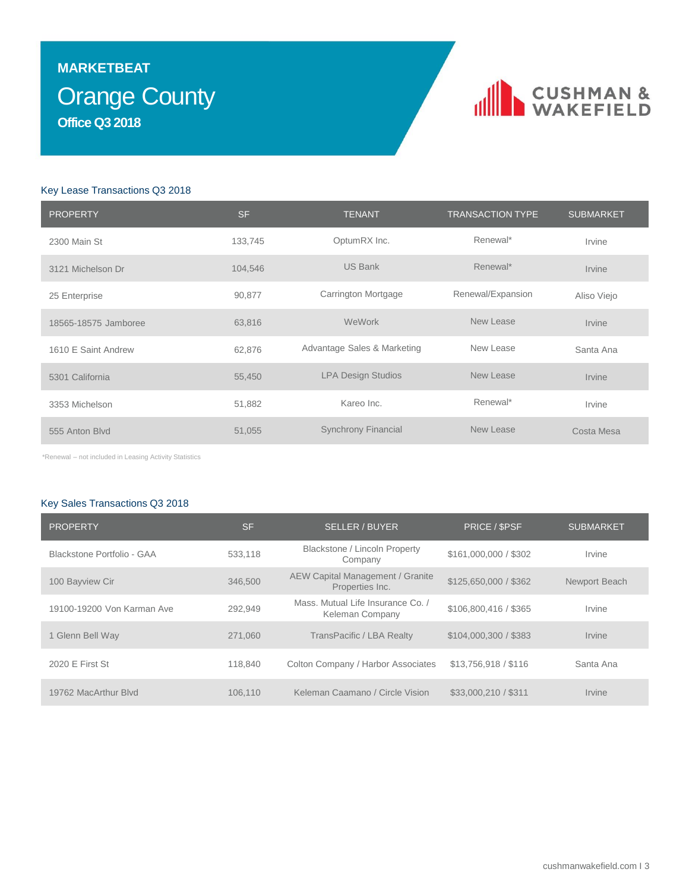### Orange County **MARKETBEAT Office Q3 2018**

### CUSHMAN &

### Key Lease Transactions Q3 2018

| <b>PROPERTY</b>      | <b>SF</b> | <b>TENANT</b>               | <b>TRANSACTION TYPE</b> | <b>SUBMARKET</b> |
|----------------------|-----------|-----------------------------|-------------------------|------------------|
| 2300 Main St         | 133,745   | OptumRX Inc.                | Renewal*                | Irvine           |
| 3121 Michelson Dr    | 104,546   | <b>US Bank</b>              | Renewal*                | Irvine           |
| 25 Enterprise        | 90,877    | Carrington Mortgage         | Renewal/Expansion       | Aliso Viejo      |
| 18565-18575 Jamboree | 63,816    | WeWork                      | New Lease               | Irvine           |
| 1610 E Saint Andrew  | 62,876    | Advantage Sales & Marketing | New Lease               | Santa Ana        |
| 5301 California      | 55,450    | <b>LPA Design Studios</b>   | New Lease               | <b>Irvine</b>    |
| 3353 Michelson       | 51,882    | Kareo Inc.                  | Renewal*                | Irvine           |
| 555 Anton Blvd       | 51,055    | <b>Synchrony Financial</b>  | New Lease               | Costa Mesa       |

\*Renewal – not included in Leasing Activity Statistics

### Key Sales Transactions Q3 2018

| <b>PROPERTY</b>            | <b>SF</b> | <b>SELLER / BUYER</b>                                      | PRICE / \$PSF         | <b>SUBMARKET</b>            |
|----------------------------|-----------|------------------------------------------------------------|-----------------------|-----------------------------|
| Blackstone Portfolio - GAA | 533.118   | Blackstone / Lincoln Property<br>Company                   | \$161,000,000 / \$302 | Irvine                      |
| 100 Bayview Cir            | 346,500   | <b>AEW Capital Management / Granite</b><br>Properties Inc. | \$125,650,000 / \$362 | Newport Beach               |
| 19100-19200 Von Karman Ave | 292.949   | Mass. Mutual Life Insurance Co. /<br>Keleman Company       | \$106.800.416 / \$365 | Irvine                      |
| 1 Glenn Bell Way           | 271,060   | TransPacific / LBA Realty                                  | \$104,000,300 / \$383 | Irvine                      |
| 2020 E First St            | 118,840   | Colton Company / Harbor Associates                         | \$13,756,918 / \$116  | Santa Ana                   |
| 19762 MacArthur Blyd       | 106.110   | Keleman Caamano / Circle Vision                            | \$33,000,210 / \$311  | <i><u><b>Irvine</b></u></i> |